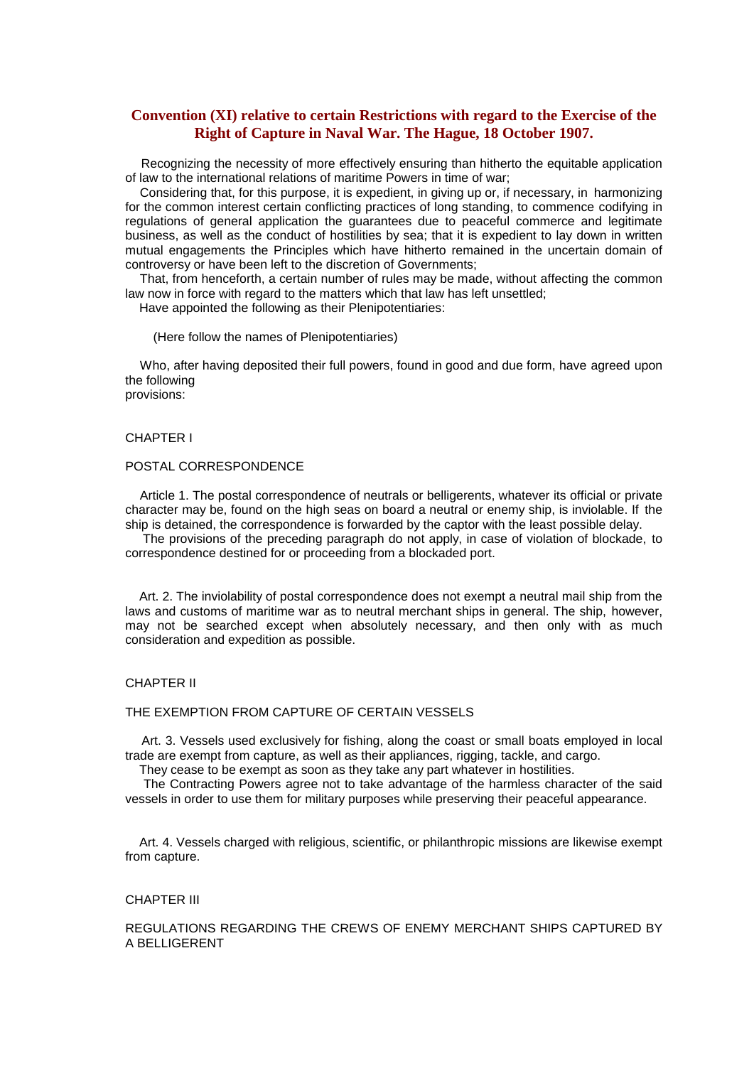# **Convention (XI) relative to certain Restrictions with regard to the Exercise of the Right of Capture in Naval War. The Hague, 18 October 1907.**

Recognizing the necessity of more effectively ensuring than hitherto the equitable application of law to the international relations of maritime Powers in time of war;

Considering that, for this purpose, it is expedient, in giving up or, if necessary, in harmonizing for the common interest certain conflicting practices of long standing, to commence codifying in regulations of general application the guarantees due to peaceful commerce and legitimate business, as well as the conduct of hostilities by sea; that it is expedient to lay down in written mutual engagements the Principles which have hitherto remained in the uncertain domain of controversy or have been left to the discretion of Governments;

That, from henceforth, a certain number of rules may be made, without affecting the common law now in force with regard to the matters which that law has left unsettled; Have appointed the following as their Plenipotentiaries:

(Here follow the names of Plenipotentiaries)

Who, after having deposited their full powers, found in good and due form, have agreed upon the following provisions:

### CHAPTER I

## POSTAL CORRESPONDENCE

Article 1. The postal correspondence of neutrals or belligerents, whatever its official or private character may be, found on the high seas on board a neutral or enemy ship, is inviolable. If the ship is detained, the correspondence is forwarded by the captor with the least possible delay.

The provisions of the preceding paragraph do not apply, in case of violation of blockade, to correspondence destined for or proceeding from a blockaded port.

Art. 2. The inviolability of postal correspondence does not exempt a neutral mail ship from the laws and customs of maritime war as to neutral merchant ships in general. The ship, however, may not be searched except when absolutely necessary, and then only with as much consideration and expedition as possible.

#### CHAPTER II

#### THE EXEMPTION FROM CAPTURE OF CERTAIN VESSELS

Art. 3. Vessels used exclusively for fishing, along the coast or small boats employed in local trade are exempt from capture, as well as their appliances, rigging, tackle, and cargo.

They cease to be exempt as soon as they take any part whatever in hostilities.

The Contracting Powers agree not to take advantage of the harmless character of the said vessels in order to use them for military purposes while preserving their peaceful appearance.

Art. 4. Vessels charged with religious, scientific, or philanthropic missions are likewise exempt from capture.

#### CHAPTER III

REGULATIONS REGARDING THE CREWS OF ENEMY MERCHANT SHIPS CAPTURED BY A BELLIGERENT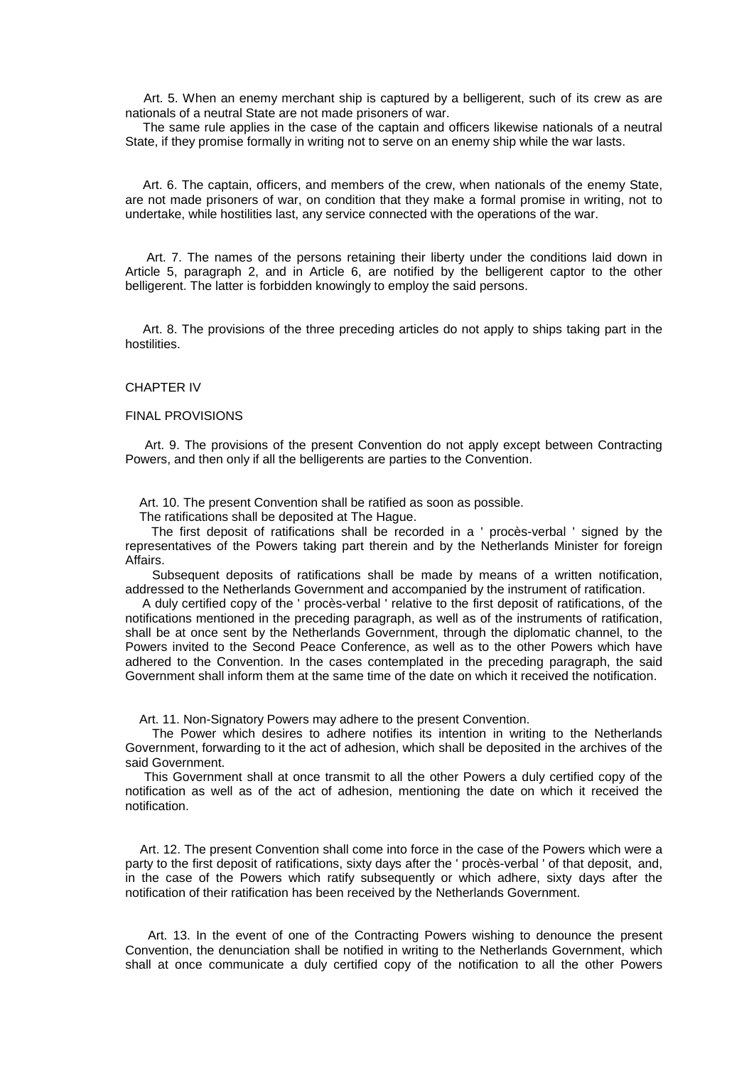Art. 5. When an enemy merchant ship is captured by a belligerent, such of its crew as are nationals of a neutral State are not made prisoners of war.

The same rule applies in the case of the captain and officers likewise nationals of a neutral State, if they promise formally in writing not to serve on an enemy ship while the war lasts.

Art. 6. The captain, officers, and members of the crew, when nationals of the enemy State, are not made prisoners of war, on condition that they make a formal promise in writing, not to undertake, while hostilities last, any service connected with the operations of the war.

Art. 7. The names of the persons retaining their liberty under the conditions laid down in Article 5, paragraph 2, and in Article 6, are notified by the belligerent captor to the other belligerent. The latter is forbidden knowingly to employ the said persons.

Art. 8. The provisions of the three preceding articles do not apply to ships taking part in the hostilities.

#### CHAPTER IV

#### FINAL PROVISIONS

Art. 9. The provisions of the present Convention do not apply except between Contracting Powers, and then only if all the belligerents are parties to the Convention.

Art. 10. The present Convention shall be ratified as soon as possible.

The ratifications shall be deposited at The Hague.

The first deposit of ratifications shall be recorded in a ' procès-verbal ' signed by the representatives of the Powers taking part therein and by the Netherlands Minister for foreign Affairs.

Subsequent deposits of ratifications shall be made by means of a written notification, addressed to the Netherlands Government and accompanied by the instrument of ratification.

A duly certified copy of the ' procès-verbal ' relative to the first deposit of ratifications, of the notifications mentioned in the preceding paragraph, as well as of the instruments of ratification, shall be at once sent by the Netherlands Government, through the diplomatic channel, to the Powers invited to the Second Peace Conference, as well as to the other Powers which have adhered to the Convention. In the cases contemplated in the preceding paragraph, the said Government shall inform them at the same time of the date on which it received the notification.

Art. 11. Non-Signatory Powers may adhere to the present Convention.

The Power which desires to adhere notifies its intention in writing to the Netherlands Government, forwarding to it the act of adhesion, which shall be deposited in the archives of the said Government.

This Government shall at once transmit to all the other Powers a duly certified copy of the notification as well as of the act of adhesion, mentioning the date on which it received the notification.

Art. 12. The present Convention shall come into force in the case of the Powers which were a party to the first deposit of ratifications, sixty days after the ' procès-verbal ' of that deposit, and, in the case of the Powers which ratify subsequently or which adhere, sixty days after the notification of their ratification has been received by the Netherlands Government.

Art. 13. In the event of one of the Contracting Powers wishing to denounce the present Convention, the denunciation shall be notified in writing to the Netherlands Government, which shall at once communicate a duly certified copy of the notification to all the other Powers